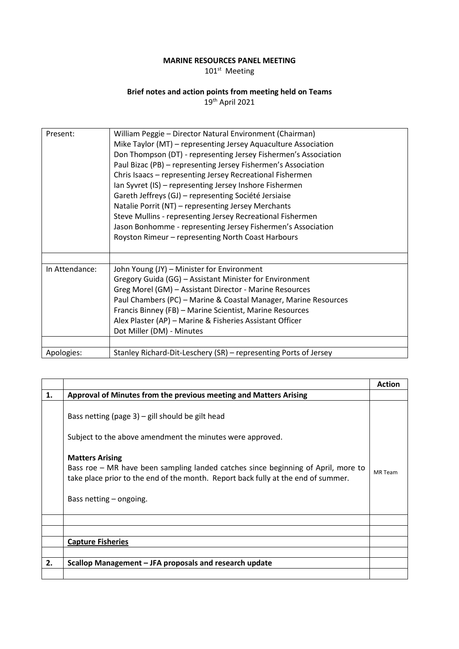## **MARINE RESOURCES PANEL MEETING**

101st Meeting

## **Brief notes and action points from meeting held on Teams**

19th April 2021

| Present:       | William Peggie - Director Natural Environment (Chairman)<br>Mike Taylor (MT) - representing Jersey Aquaculture Association<br>Don Thompson (DT) - representing Jersey Fishermen's Association<br>Paul Bizac (PB) - representing Jersey Fishermen's Association<br>Chris Isaacs - representing Jersey Recreational Fishermen<br>Ian Syvret (IS) - representing Jersey Inshore Fishermen<br>Gareth Jeffreys (GJ) - representing Société Jersiaise<br>Natalie Porrit (NT) - representing Jersey Merchants<br>Steve Mullins - representing Jersey Recreational Fishermen<br>Jason Bonhomme - representing Jersey Fishermen's Association<br>Royston Rimeur - representing North Coast Harbours |
|----------------|--------------------------------------------------------------------------------------------------------------------------------------------------------------------------------------------------------------------------------------------------------------------------------------------------------------------------------------------------------------------------------------------------------------------------------------------------------------------------------------------------------------------------------------------------------------------------------------------------------------------------------------------------------------------------------------------|
| In Attendance: | John Young (JY) - Minister for Environment<br>Gregory Guida (GG) - Assistant Minister for Environment<br>Greg Morel (GM) - Assistant Director - Marine Resources<br>Paul Chambers (PC) - Marine & Coastal Manager, Marine Resources<br>Francis Binney (FB) - Marine Scientist, Marine Resources<br>Alex Plaster (AP) - Marine & Fisheries Assistant Officer<br>Dot Miller (DM) - Minutes                                                                                                                                                                                                                                                                                                   |
| Apologies:     | Stanley Richard-Dit-Leschery (SR) – representing Ports of Jersey                                                                                                                                                                                                                                                                                                                                                                                                                                                                                                                                                                                                                           |

|    |                                                                                                                                                                                                                             | <b>Action</b>  |
|----|-----------------------------------------------------------------------------------------------------------------------------------------------------------------------------------------------------------------------------|----------------|
| 1. | Approval of Minutes from the previous meeting and Matters Arising                                                                                                                                                           |                |
|    | Bass netting (page $3$ ) – gill should be gilt head<br>Subject to the above amendment the minutes were approved.                                                                                                            |                |
|    | <b>Matters Arising</b><br>Bass roe – MR have been sampling landed catches since beginning of April, more to<br>take place prior to the end of the month. Report back fully at the end of summer.<br>Bass netting – ongoing. | <b>MR</b> Team |
|    |                                                                                                                                                                                                                             |                |
|    |                                                                                                                                                                                                                             |                |
|    | <b>Capture Fisheries</b>                                                                                                                                                                                                    |                |
|    |                                                                                                                                                                                                                             |                |
| 2. | Scallop Management - JFA proposals and research update                                                                                                                                                                      |                |
|    |                                                                                                                                                                                                                             |                |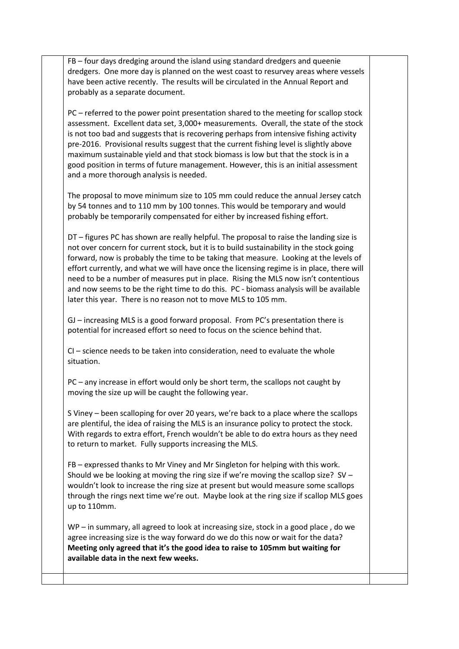FB – four days dredging around the island using standard dredgers and queenie dredgers. One more day is planned on the west coast to resurvey areas where vessels have been active recently. The results will be circulated in the Annual Report and probably as a separate document.

PC – referred to the power point presentation shared to the meeting for scallop stock assessment. Excellent data set, 3,000+ measurements. Overall, the state of the stock is not too bad and suggests that is recovering perhaps from intensive fishing activity pre-2016. Provisional results suggest that the current fishing level is slightly above maximum sustainable yield and that stock biomass is low but that the stock is in a good position in terms of future management. However, this is an initial assessment and a more thorough analysis is needed.

The proposal to move minimum size to 105 mm could reduce the annual Jersey catch by 54 tonnes and to 110 mm by 100 tonnes. This would be temporary and would probably be temporarily compensated for either by increased fishing effort.

DT – figures PC has shown are really helpful. The proposal to raise the landing size is not over concern for current stock, but it is to build sustainability in the stock going forward, now is probably the time to be taking that measure. Looking at the levels of effort currently, and what we will have once the licensing regime is in place, there will need to be a number of measures put in place. Rising the MLS now isn't contentious and now seems to be the right time to do this. PC - biomass analysis will be available later this year. There is no reason not to move MLS to 105 mm.

GJ – increasing MLS is a good forward proposal. From PC's presentation there is potential for increased effort so need to focus on the science behind that.

CI – science needs to be taken into consideration, need to evaluate the whole situation.

PC – any increase in effort would only be short term, the scallops not caught by moving the size up will be caught the following year.

S Viney – been scalloping for over 20 years, we're back to a place where the scallops are plentiful, the idea of raising the MLS is an insurance policy to protect the stock. With regards to extra effort, French wouldn't be able to do extra hours as they need to return to market. Fully supports increasing the MLS.

FB – expressed thanks to Mr Viney and Mr Singleton for helping with this work. Should we be looking at moving the ring size if we're moving the scallop size? SV – wouldn't look to increase the ring size at present but would measure some scallops through the rings next time we're out. Maybe look at the ring size if scallop MLS goes up to 110mm.

WP – in summary, all agreed to look at increasing size, stock in a good place , do we agree increasing size is the way forward do we do this now or wait for the data? **Meeting only agreed that it's the good idea to raise to 105mm but waiting for available data in the next few weeks.**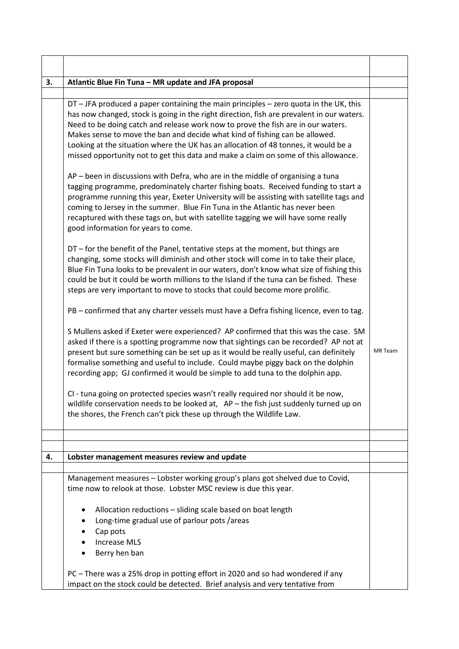| 3. | Atlantic Blue Fin Tuna - MR update and JFA proposal                                                                                                                                                                                                                                                                                                                                                                                                                                                                                 |                |
|----|-------------------------------------------------------------------------------------------------------------------------------------------------------------------------------------------------------------------------------------------------------------------------------------------------------------------------------------------------------------------------------------------------------------------------------------------------------------------------------------------------------------------------------------|----------------|
|    |                                                                                                                                                                                                                                                                                                                                                                                                                                                                                                                                     |                |
|    | DT - JFA produced a paper containing the main principles - zero quota in the UK, this<br>has now changed, stock is going in the right direction, fish are prevalent in our waters.<br>Need to be doing catch and release work now to prove the fish are in our waters.<br>Makes sense to move the ban and decide what kind of fishing can be allowed.<br>Looking at the situation where the UK has an allocation of 48 tonnes, it would be a<br>missed opportunity not to get this data and make a claim on some of this allowance. |                |
|    | AP - been in discussions with Defra, who are in the middle of organising a tuna<br>tagging programme, predominately charter fishing boats. Received funding to start a<br>programme running this year, Exeter University will be assisting with satellite tags and<br>coming to Jersey in the summer. Blue Fin Tuna in the Atlantic has never been<br>recaptured with these tags on, but with satellite tagging we will have some really<br>good information for years to come.                                                     |                |
|    | DT - for the benefit of the Panel, tentative steps at the moment, but things are<br>changing, some stocks will diminish and other stock will come in to take their place,<br>Blue Fin Tuna looks to be prevalent in our waters, don't know what size of fishing this<br>could be but it could be worth millions to the Island if the tuna can be fished. These<br>steps are very important to move to stocks that could become more prolific.                                                                                       |                |
|    | PB - confirmed that any charter vessels must have a Defra fishing licence, even to tag.                                                                                                                                                                                                                                                                                                                                                                                                                                             |                |
|    | S Mullens asked if Exeter were experienced? AP confirmed that this was the case. SM<br>asked if there is a spotting programme now that sightings can be recorded? AP not at<br>present but sure something can be set up as it would be really useful, can definitely<br>formalise something and useful to include. Could maybe piggy back on the dolphin<br>recording app; GJ confirmed it would be simple to add tuna to the dolphin app.                                                                                          | <b>MR</b> Team |
|    | CI - tuna going on protected species wasn't really required nor should it be now,<br>wildlife conservation needs to be looked at, AP - the fish just suddenly turned up on<br>the shores, the French can't pick these up through the Wildlife Law.                                                                                                                                                                                                                                                                                  |                |
|    |                                                                                                                                                                                                                                                                                                                                                                                                                                                                                                                                     |                |
|    |                                                                                                                                                                                                                                                                                                                                                                                                                                                                                                                                     |                |
| 4. | Lobster management measures review and update                                                                                                                                                                                                                                                                                                                                                                                                                                                                                       |                |
|    | Management measures - Lobster working group's plans got shelved due to Covid,<br>time now to relook at those. Lobster MSC review is due this year.                                                                                                                                                                                                                                                                                                                                                                                  |                |
|    | Allocation reductions - sliding scale based on boat length<br>Long-time gradual use of parlour pots /areas<br>Cap pots<br><b>Increase MLS</b><br>Berry hen ban                                                                                                                                                                                                                                                                                                                                                                      |                |
|    | PC - There was a 25% drop in potting effort in 2020 and so had wondered if any<br>impact on the stock could be detected. Brief analysis and very tentative from                                                                                                                                                                                                                                                                                                                                                                     |                |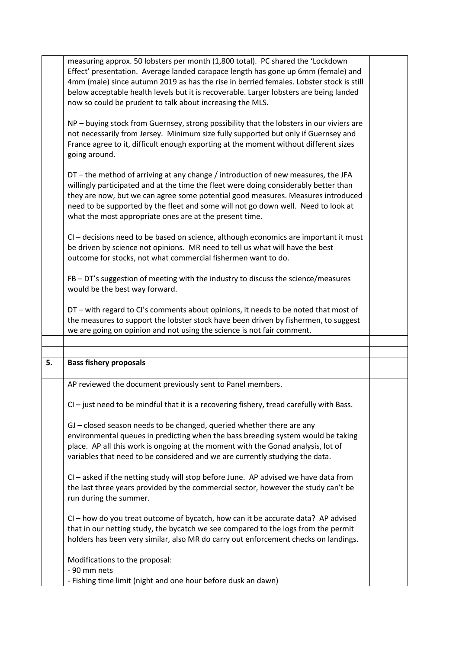|    | measuring approx. 50 lobsters per month (1,800 total). PC shared the 'Lockdown             |  |
|----|--------------------------------------------------------------------------------------------|--|
|    | Effect' presentation. Average landed carapace length has gone up 6mm (female) and          |  |
|    | 4mm (male) since autumn 2019 as has the rise in berried females. Lobster stock is still    |  |
|    | below acceptable health levels but it is recoverable. Larger lobsters are being landed     |  |
|    | now so could be prudent to talk about increasing the MLS.                                  |  |
|    |                                                                                            |  |
|    |                                                                                            |  |
|    | NP - buying stock from Guernsey, strong possibility that the lobsters in our viviers are   |  |
|    | not necessarily from Jersey. Minimum size fully supported but only if Guernsey and         |  |
|    | France agree to it, difficult enough exporting at the moment without different sizes       |  |
|    | going around.                                                                              |  |
|    |                                                                                            |  |
|    | DT - the method of arriving at any change / introduction of new measures, the JFA          |  |
|    | willingly participated and at the time the fleet were doing considerably better than       |  |
|    | they are now, but we can agree some potential good measures. Measures introduced           |  |
|    | need to be supported by the fleet and some will not go down well. Need to look at          |  |
|    | what the most appropriate ones are at the present time.                                    |  |
|    |                                                                                            |  |
|    | CI - decisions need to be based on science, although economics are important it must       |  |
|    | be driven by science not opinions. MR need to tell us what will have the best              |  |
|    |                                                                                            |  |
|    | outcome for stocks, not what commercial fishermen want to do.                              |  |
|    |                                                                                            |  |
|    | FB - DT's suggestion of meeting with the industry to discuss the science/measures          |  |
|    | would be the best way forward.                                                             |  |
|    |                                                                                            |  |
|    | DT - with regard to CI's comments about opinions, it needs to be noted that most of        |  |
|    | the measures to support the lobster stock have been driven by fishermen, to suggest        |  |
|    | we are going on opinion and not using the science is not fair comment.                     |  |
|    |                                                                                            |  |
|    |                                                                                            |  |
| 5. | <b>Bass fishery proposals</b>                                                              |  |
|    |                                                                                            |  |
|    | AP reviewed the document previously sent to Panel members.                                 |  |
|    | $Cl -$ just need to be mindful that it is a recovering fishery, tread carefully with Bass. |  |
|    |                                                                                            |  |
|    |                                                                                            |  |
|    | GJ - closed season needs to be changed, queried whether there are any                      |  |
|    | environmental queues in predicting when the bass breeding system would be taking           |  |
|    | place. AP all this work is ongoing at the moment with the Gonad analysis, lot of           |  |
|    | variables that need to be considered and we are currently studying the data.               |  |
|    |                                                                                            |  |
|    | CI - asked if the netting study will stop before June. AP advised we have data from        |  |
|    | the last three years provided by the commercial sector, however the study can't be         |  |
|    | run during the summer.                                                                     |  |
|    |                                                                                            |  |
|    | CI - how do you treat outcome of bycatch, how can it be accurate data? AP advised          |  |
|    |                                                                                            |  |
|    | that in our netting study, the bycatch we see compared to the logs from the permit         |  |
|    | holders has been very similar, also MR do carry out enforcement checks on landings.        |  |
|    |                                                                                            |  |
|    | Modifications to the proposal:                                                             |  |
|    | - 90 mm nets<br>- Fishing time limit (night and one hour before dusk an dawn)              |  |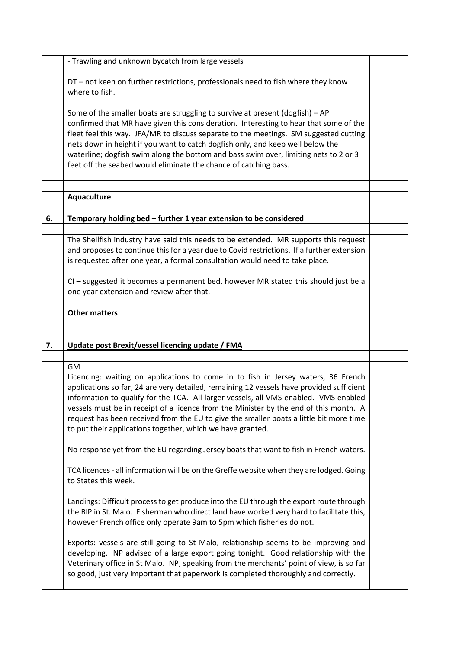|    | - Trawling and unknown bycatch from large vessels                                                                                                                                                                                                                                                                                                                                                                                                                                                                      |  |
|----|------------------------------------------------------------------------------------------------------------------------------------------------------------------------------------------------------------------------------------------------------------------------------------------------------------------------------------------------------------------------------------------------------------------------------------------------------------------------------------------------------------------------|--|
|    | DT - not keen on further restrictions, professionals need to fish where they know<br>where to fish.                                                                                                                                                                                                                                                                                                                                                                                                                    |  |
|    | Some of the smaller boats are struggling to survive at present (dogfish) - AP<br>confirmed that MR have given this consideration. Interesting to hear that some of the<br>fleet feel this way. JFA/MR to discuss separate to the meetings. SM suggested cutting<br>nets down in height if you want to catch dogfish only, and keep well below the<br>waterline; dogfish swim along the bottom and bass swim over, limiting nets to 2 or 3<br>feet off the seabed would eliminate the chance of catching bass.          |  |
|    |                                                                                                                                                                                                                                                                                                                                                                                                                                                                                                                        |  |
|    | Aquaculture                                                                                                                                                                                                                                                                                                                                                                                                                                                                                                            |  |
| 6. | Temporary holding bed - further 1 year extension to be considered                                                                                                                                                                                                                                                                                                                                                                                                                                                      |  |
|    |                                                                                                                                                                                                                                                                                                                                                                                                                                                                                                                        |  |
|    | The Shellfish industry have said this needs to be extended. MR supports this request<br>and proposes to continue this for a year due to Covid restrictions. If a further extension<br>is requested after one year, a formal consultation would need to take place.                                                                                                                                                                                                                                                     |  |
|    | CI - suggested it becomes a permanent bed, however MR stated this should just be a<br>one year extension and review after that.                                                                                                                                                                                                                                                                                                                                                                                        |  |
|    | <b>Other matters</b>                                                                                                                                                                                                                                                                                                                                                                                                                                                                                                   |  |
|    |                                                                                                                                                                                                                                                                                                                                                                                                                                                                                                                        |  |
|    |                                                                                                                                                                                                                                                                                                                                                                                                                                                                                                                        |  |
| 7. | Update post Brexit/vessel licencing update / FMA                                                                                                                                                                                                                                                                                                                                                                                                                                                                       |  |
|    | GM                                                                                                                                                                                                                                                                                                                                                                                                                                                                                                                     |  |
|    | Licencing: waiting on applications to come in to fish in Jersey waters, 36 French<br>applications so far, 24 are very detailed, remaining 12 vessels have provided sufficient<br>information to qualify for the TCA. All larger vessels, all VMS enabled. VMS enabled<br>vessels must be in receipt of a licence from the Minister by the end of this month. A<br>request has been received from the EU to give the smaller boats a little bit more time<br>to put their applications together, which we have granted. |  |
|    | No response yet from the EU regarding Jersey boats that want to fish in French waters.                                                                                                                                                                                                                                                                                                                                                                                                                                 |  |
|    | TCA licences - all information will be on the Greffe website when they are lodged. Going<br>to States this week.                                                                                                                                                                                                                                                                                                                                                                                                       |  |
|    | Landings: Difficult process to get produce into the EU through the export route through<br>the BIP in St. Malo. Fisherman who direct land have worked very hard to facilitate this,<br>however French office only operate 9am to 5pm which fisheries do not.                                                                                                                                                                                                                                                           |  |
|    | Exports: vessels are still going to St Malo, relationship seems to be improving and<br>developing. NP advised of a large export going tonight. Good relationship with the<br>Veterinary office in St Malo. NP, speaking from the merchants' point of view, is so far<br>so good, just very important that paperwork is completed thoroughly and correctly.                                                                                                                                                             |  |